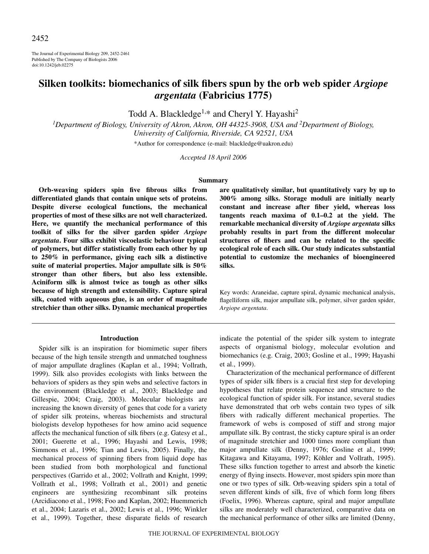The Journal of Experimental Biology 209, 2452-2461 Published by The Company of Biologists 2006 doi:10.1242/jeb.02275

# **Silken toolkits: biomechanics of silk fibers spun by the orb web spider** *Argiope argentata* **(Fabricius 1775)**

Todd A. Blackledge<sup>1,\*</sup> and Cheryl Y. Hayashi<sup>2</sup>

<sup>1</sup>Department of Biology, University of Akron, Akron, OH 44325-3908, USA and <sup>2</sup>Department of Biology, *University of California, Riverside, CA 92521, USA*

\*Author for correspondence (e-mail: blackledge@uakron.edu)

*Accepted 18 April 2006*

### **Summary**

**Orb-weaving spiders spin five fibrous silks from differentiated glands that contain unique sets of proteins. Despite diverse ecological functions, the mechanical properties of most of these silks are not well characterized. Here, we quantify the mechanical performance of this toolkit of silks for the silver garden spider** *Argiope argentata***. Four silks exhibit viscoelastic behaviour typical of polymers, but differ statistically from each other by up to 250% in performance, giving each silk a distinctive suite of material properties. Major ampullate silk is 50% stronger than other fibers, but also less extensible. Aciniform silk is almost twice as tough as other silks because of high strength and extensibility. Capture spiral silk, coated with aqueous glue, is an order of magnitude stretchier than other silks. Dynamic mechanical properties**

### **Introduction**

Spider silk is an inspiration for biomimetic super fibers because of the high tensile strength and unmatched toughness of major ampullate draglines (Kaplan et al., 1994; Vollrath, 1999). Silk also provides ecologists with links between the behaviors of spiders as they spin webs and selective factors in the environment (Blackledge et al., 2003; Blackledge and Gillespie, 2004; Craig, 2003). Molecular biologists are increasing the known diversity of genes that code for a variety of spider silk proteins, whereas biochemists and structural biologists develop hypotheses for how amino acid sequence affects the mechanical function of silk fibers (e.g. Gatesy et al., 2001; Guerette et al., 1996; Hayashi and Lewis, 1998; Simmons et al., 1996; Tian and Lewis, 2005). Finally, the mechanical process of spinning fibers from liquid dope has been studied from both morphological and functional perspectives (Garrido et al., 2002; Vollrath and Knight, 1999; Vollrath et al., 1998; Vollrath et al., 2001) and genetic engineers are synthesizing recombinant silk proteins (Arcidiacono et al., 1998; Foo and Kaplan, 2002; Huemmerich et al., 2004; Lazaris et al., 2002; Lewis et al., 1996; Winkler et al., 1999). Together, these disparate fields of research

**are qualitatively similar, but quantitatively vary by up to 300% among silks. Storage moduli are initially nearly constant and increase after fiber yield, whereas loss tangents reach maxima of 0.1–0.2 at the yield. The remarkable mechanical diversity of** *Argiope argentata* **silks probably results in part from the different molecular structures of fibers and can be related to the specific ecological role of each silk. Our study indicates substantial potential to customize the mechanics of bioengineered silks.**

Key words: Araneidae, capture spiral, dynamic mechanical analysis, flagelliform silk, major ampullate silk, polymer, silver garden spider, *Argiope argentata*.

indicate the potential of the spider silk system to integrate aspects of organismal biology, molecular evolution and biomechanics (e.g. Craig, 2003; Gosline et al., 1999; Hayashi et al., 1999).

Characterization of the mechanical performance of different types of spider silk fibers is a crucial first step for developing hypotheses that relate protein sequence and structure to the ecological function of spider silk. For instance, several studies have demonstrated that orb webs contain two types of silk fibers with radically different mechanical properties. The framework of webs is composed of stiff and strong major ampullate silk. By contrast, the sticky capture spiral is an order of magnitude stretchier and 1000 times more compliant than major ampullate silk (Denny, 1976; Gosline et al., 1999; Kitagawa and Kitayama, 1997; Köhler and Vollrath, 1995). These silks function together to arrest and absorb the kinetic energy of flying insects. However, most spiders spin more than one or two types of silk. Orb-weaving spiders spin a total of seven different kinds of silk, five of which form long fibers (Foelix, 1996). Whereas capture, spiral and major ampullate silks are moderately well characterized, comparative data on the mechanical performance of other silks are limited (Denny,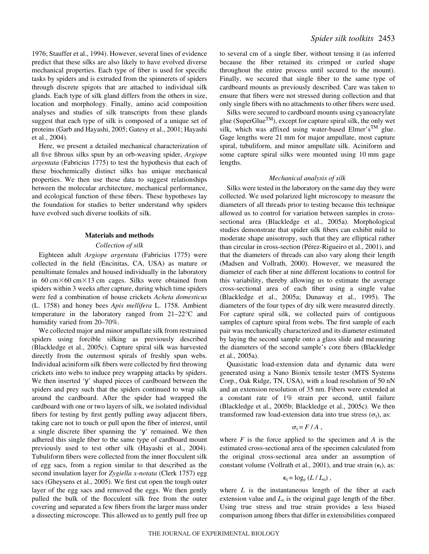1976; Stauffer et al., 1994). However, several lines of evidence predict that these silks are also likely to have evolved diverse mechanical properties. Each type of fiber is used for specific tasks by spiders and is extruded from the spinnerets of spiders through discrete spigots that are attached to individual silk glands. Each type of silk gland differs from the others in size, location and morphology. Finally, amino acid composition analyses and studies of silk transcripts from these glands suggest that each type of silk is composed of a unique set of proteins (Garb and Hayashi, 2005; Gatesy et al., 2001; Hayashi et al., 2004).

Here, we present a detailed mechanical characterization of all five fibrous silks spun by an orb-weaving spider, *Argiope argentata* (Fabricius 1775) to test the hypothesis that each of these biochemically distinct silks has unique mechanical properties. We then use these data to suggest relationships between the molecular architecture, mechanical performance, and ecological function of these fibers. These hypotheses lay the foundation for studies to better understand why spiders have evolved such diverse toolkits of silk.

# **Materials and methods**

### *Collection of silk*

Eighteen adult *Argiope argentata* (Fabricius 1775) were collected in the field (Encinitas, CA, USA) as mature or penultimate females and housed individually in the laboratory in  $60 \text{ cm} \times 60 \text{ cm} \times 13 \text{ cm}$  cages. Silks were obtained from spiders within 3 weeks after capture, during which time spiders were fed a combination of house crickets *Acheta domesticus* (L. 1758) and honey bees *Apis mellifera* L. 1758. Ambient temperature in the laboratory ranged from 21–22°C and humidity varied from 20–70%.

We collected major and minor ampullate silk from restrained spiders using forcible silking as previously described (Blackledge et al., 2005c). Capture spiral silk was harvested directly from the outermost spirals of freshly spun webs. Individual aciniform silk fibers were collected by first throwing crickets into webs to induce prey wrapping attacks by spiders. We then inserted 'y' shaped pieces of cardboard between the spiders and prey such that the spiders continued to wrap silk around the cardboard. After the spider had wrapped the cardboard with one or two layers of silk, we isolated individual fibers for testing by first gently pulling away adjacent fibers, taking care not to touch or pull upon the fiber of interest, until a single discrete fiber spanning the 'y' remained. We then adhered this single fiber to the same type of cardboard mount previously used to test other silk (Hayashi et al., 2004). Tubuliform fibers were collected from the inner flocculent silk of egg sacs, from a region similar to that described as the second insulation layer for *Zygiella x-notata* (Clerk 1757) egg sacs (Gheysens et al., 2005). We first cut open the tough outer layer of the egg sacs and removed the eggs. We then gently pulled the bulk of the flocculent silk free from the outer covering and separated a few fibers from the larger mass under a dissecting microscope. This allowed us to gently pull free up

to several cm of a single fiber, without tensing it (as inferred because the fiber retained its crimped or curled shape throughout the entire process until secured to the mount). Finally, we secured that single fiber to the same type of cardboard mounts as previously described. Care was taken to ensure that fibers were not stressed during collection and that only single fibers with no attachments to other fibers were used.

Silks were secured to cardboard mounts using cyanoacrylate glue (SuperGlue<sup>TM</sup>), except for capture spiral silk, the only wet silk, which was affixed using water-based Elmer's<sup>TM</sup> glue. Gage lengths were 21 mm for major ampullate, most capture spiral, tubuliform, and minor ampullate silk. Aciniform and some capture spiral silks were mounted using 10 mm gage lengths.

### *Mechanical analysis of silk*

Silks were tested in the laboratory on the same day they were collected. We used polarized light microscopy to measure the diameters of all threads prior to testing because this technique allowed us to control for variation between samples in crosssectional area (Blackledge et al., 2005a). Morphological studies demonstrate that spider silk fibers can exhibit mild to moderate shape anisotropy, such that they are elliptical rather than circular in cross-section (Pérez-Rigueiro et al., 2001), and that the diameters of threads can also vary along their length (Madsen and Vollrath, 2000). However, we measured the diameter of each fiber at nine different locations to control for this variability, thereby allowing us to estimate the average cross-sectional area of each fiber using a single value (Blackledge et al., 2005a; Dunaway et al., 1995). The diameters of the four types of dry silk were measured directly. For capture spiral silk, we collected pairs of contiguous samples of capture spiral from webs. The first sample of each pair was mechanically characterized and its diameter estimated by laying the second sample onto a glass slide and measuring the diameters of the second sample's core fibers (Blackledge et al., 2005a).

Quasistatic load-extension data and dynamic data were generated using a Nano Bionix tensile tester (MTS Systems Corp., Oak Ridge, TN, USA), with a load resolution of 50 nN and an extension resolution of 35 nm. Fibers were extended at a constant rate of 1% strain per second, until failure (Blackledge et al., 2005b; Blackledge et al., 2005c). We then transformed raw load-extension data into true stress  $(\sigma_t)$ , as:

$$
\sigma_{\rm t} = F/A \ ,
$$

where *F* is the force applied to the specimen and *A* is the estimated cross-sectional area of the specimen calculated from the original cross-sectional area under an assumption of constant volume (Vollrath et al., 2001), and true strain  $(\epsilon_t)$ , as:

$$
\epsilon_t = \log_e (L/L_0) ,
$$

where *L* is the instantaneous length of the fiber at each extension value and  $L_0$  is the original gage length of the fiber. Using true stress and true strain provides a less biased comparison among fibers that differ in extensibilities compared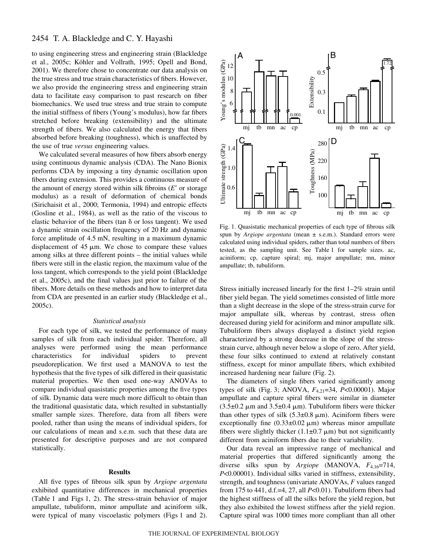# 2454 T. A. Blackledge and C. Y. Hayashi

to using engineering stress and engineering strain (Blackledge et al., 2005c; Köhler and Vollrath, 1995; Opell and Bond, 2001). We therefore chose to concentrate our data analysis on the true stress and true strain characteristics of fibers. However, we also provide the engineering stress and engineering strain data to facilitate easy comparison to past research on fiber biomechanics. We used true stress and true strain to compute the initial stiffness of fibers (Young's modulus), how far fibers stretched before breaking (extensibility) and the ultimate strength of fibers. We also calculated the energy that fibers absorbed before breaking (toughness), which is unaffected by the use of true *versus* engineering values.

We calculated several measures of how fibers absorb energy using continuous dynamic analysis (CDA). The Nano Bionix performs CDA by imposing a tiny dynamic oscillation upon fibers during extension. This provides a continuous measure of the amount of energy stored within silk fibroins  $(E'$  or storage modulus) as a result of deformation of chemical bonds (Sirichaisit et al., 2000; Termonia, 1994) and entropic effects (Gosline et al., 1984), as well as the ratio of the viscous to elastic behavior of the fibers (tan  $\delta$  or loss tangent). We used a dynamic strain oscillation frequency of 20 Hz and dynamic force amplitude of  $4.5$  mN, resulting in a maximum dynamic displacement of 45  $\mu$ m. We chose to compare these values among silks at three different points – the initial values while fibers were still in the elastic region, the maximum value of the loss tangent, which corresponds to the yield point (Blackledge et al., 2005c), and the final values just prior to failure of the fibers. More details on these methods and how to interpret data from CDA are presented in an earlier study (Blackledge et al., 2005c).

### *Statistical analysis*

For each type of silk, we tested the performance of many samples of silk from each individual spider. Therefore, all analyses were performed using the mean performance characteristics for individual spiders to prevent pseudoreplication. We first used a MANOVA to test the hypothesis that the five types of silk differed in their quasistatic material properties. We then used one-way ANOVAs to compare individual quasistatic properties among the five types of silk. Dynamic data were much more difficult to obtain than the traditional quasistatic data, which resulted in substantially smaller sample sizes. Therefore, data from all fibers were pooled, rather than using the means of individual spiders, for our calculations of mean and s.e.m. such that these data are presented for descriptive purposes and are not compared statistically.

### **Results**

All five types of fibrous silk spun by *Argiope argentata* exhibited quantitative differences in mechanical properties (Table 1 and Figs 1, 2). The stress-strain behavior of major ampullate, tubuliform, minor ampullate and aciniform silk, were typical of many viscoelastic polymers (Figs 1 and 2).



Fig. 1. Quasistatic mechanical properties of each type of fibrous silk spun by *Argiope argentata* (mean ± s.e.m.). Standard errors were calculated using individual spiders, rather than total numbers of fibers tested, as the sampling unit. See Table 1 for sample sizes. ac, aciniform; cp, capture spiral; mj, major ampullate; mn, minor ampullate; tb, tubuliform.

Stress initially increased linearly for the first 1–2% strain until fiber yield began. The yield sometimes consisted of little more than a slight decrease in the slope of the stress-strain curve for major ampullate silk, whereas by contrast, stress often decreased during yield for aciniform and minor ampullate silk. Tubuliform fibers always displayed a distinct yield region characterized by a strong decrease in the slope of the stressstrain curve, although never below a slope of zero. After yield, these four silks continued to extend at relatively constant stiffness, except for minor ampullate fibers, which exhibited increased hardening near failure (Fig. 2).

The diameters of single fibers varied significantly among types of silk (Fig. 3; ANOVA,  $F_{4,21}$ =34, *P*<0.00001). Major ampullate and capture spiral fibers were similar in diameter  $(3.5\pm0.2 \mu m$  and  $3.5\pm0.4 \mu m$ ). Tubuliform fibers were thicker than other types of silk  $(5.3\pm0.8 \,\mu\text{m})$ . Aciniform fibers were exceptionally fine  $(0.33\pm0.02 \mu m)$  whereas minor ampullate fibers were slightly thicker  $(1.1\pm0.7~\mu m)$  but not significantly different from aciniform fibers due to their variability.

Our data reveal an impressive range of mechanical and material properties that differed significantly among the diverse silks spun by *Argiope* (MANOVA, *F*4,16=714, *P*<0.00001). Individual silks varied in stiffness, extensibility, strength, and toughness (univariate ANOVAs, *F* values ranged from 175 to 441, d.f.=4, 27, all *P*<0.01). Tubuliform fibers had the highest stiffness of all the silks before the yield region, but they also exhibited the lowest stiffness after the yield region. Capture spiral was 1000 times more compliant than all other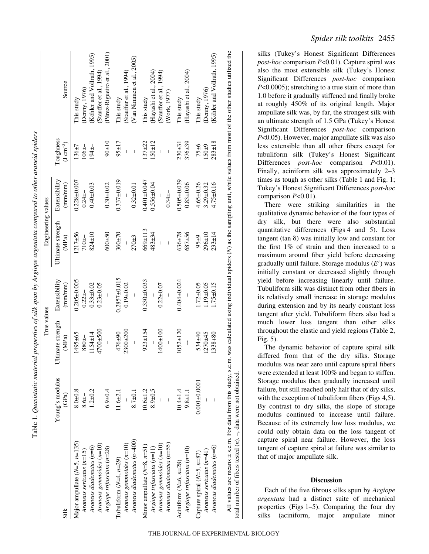|                                                                                                                                                                                                                                                                  |                                                           | True values                                           |                                                                                                                                                                                                                                                                                                                                                                                                                        | Engineering values                                                    |                                                   |                                         |                                                                                 |
|------------------------------------------------------------------------------------------------------------------------------------------------------------------------------------------------------------------------------------------------------------------|-----------------------------------------------------------|-------------------------------------------------------|------------------------------------------------------------------------------------------------------------------------------------------------------------------------------------------------------------------------------------------------------------------------------------------------------------------------------------------------------------------------------------------------------------------------|-----------------------------------------------------------------------|---------------------------------------------------|-----------------------------------------|---------------------------------------------------------------------------------|
|                                                                                                                                                                                                                                                                  | Young's modulus<br>(GPa)                                  | Ultimate strength<br>(MPa)                            | Extensibility<br>(mm/mm)                                                                                                                                                                                                                                                                                                                                                                                               | Ultimate strength<br>(MPa)                                            | Extensibility<br>(mm/mm)                          | Toughness<br>$(\text{J cm}^{-3})$       | Source                                                                          |
| Major ampullate $(N=5, n=135)$<br>Araneus sericatus $(n=15)$                                                                                                                                                                                                     | $8.0 + 0.8$<br>$8.6 +$                                    | 1495±65<br>$-1088$                                    | $0.205 + 0.005$<br>$0.22 + -$                                                                                                                                                                                                                                                                                                                                                                                          | $217 + 56$<br>$710+$                                                  | $0.228 + 0.007$<br>$0.24 + -$                     | $136 + 7$<br>$106 + -$                  | (Denny, 1976)<br>This study                                                     |
| Araneus gemmoides $(n=10)$<br>Araneus diadematus $(n=6)$                                                                                                                                                                                                         | $1.2 \pm 0.2$                                             | 4700±500<br>$154 \pm 14$                              | $0.33 \pm 0.02$<br>$0.23 + 0.05$                                                                                                                                                                                                                                                                                                                                                                                       | 824±10                                                                | $0.40 \pm 0.03$                                   | $194 + -$                               | (Köhler and Vollrath, 1995)<br>(Staufter et al., 1994)                          |
| Argiope trifasciata (n=28)                                                                                                                                                                                                                                       | $6.9 + 0.4$                                               | $\overline{\phantom{a}}$                              | $\overline{\phantom{a}}$                                                                                                                                                                                                                                                                                                                                                                                               | $600 + 50$                                                            | $0.30 + 0.02$                                     | $00 + 10$                               | (Pérez-Rigueiro et al., 2001)                                                   |
| Araneus diadematus $(n \sim 400)$<br>Araneus gemmoides $(n=10)$<br>Tubuliform $(N=4, n=29)$                                                                                                                                                                      | $8.7 + 0.1$<br>$11.6 \pm 2.1$                             | 2300±200<br>476±90<br>$\overline{\phantom{a}}$        | $0.2857 \pm 0.015$<br>$0.19 + 0.02$<br>$\overline{\phantom{a}}$                                                                                                                                                                                                                                                                                                                                                        | $360 + 70$<br>$270 + 3$                                               | $0.337 + 0.019$<br>$0.32 + 0.01$                  | $95 \pm 17$<br>$\overline{\phantom{a}}$ | $(Van$ Nimmen et al., $2005)$<br>(Stauffer et al., 1994)<br>This study          |
| Araneus gemmoides $(n=10)$<br>Araneus diadematus $(n=55)$<br>Minor ampullate $(N=8, n=51)$<br>Argiope trifasciata $(n=11)$                                                                                                                                       | $8.9 + 0.5$<br>$10.6 \pm 1.2$<br>$\overline{\phantom{a}}$ | 1400±100<br>$923 \pm 154$<br>$\overline{\phantom{a}}$ | $0.330 \pm 0.033$<br>$0.22 + 0.07$<br>$\begin{array}{c} \rule{0pt}{2.5ex} \rule{0pt}{2.5ex} \rule{0pt}{2.5ex} \rule{0pt}{2.5ex} \rule{0pt}{2.5ex} \rule{0pt}{2.5ex} \rule{0pt}{2.5ex} \rule{0pt}{2.5ex} \rule{0pt}{2.5ex} \rule{0pt}{2.5ex} \rule{0pt}{2.5ex} \rule{0pt}{2.5ex} \rule{0pt}{2.5ex} \rule{0pt}{2.5ex} \rule{0pt}{2.5ex} \rule{0pt}{2.5ex} \rule{0pt}{2.5ex} \rule{0pt}{2.5ex} \rule{0pt}{2.5ex} \rule{0$ | $669 \pm 113$<br>483±34<br>$\overline{1}$<br>$\overline{\phantom{a}}$ | $0.401 + 0.047$<br>$0.556 \pm 0.04$<br>$0.34 + -$ | $150 \pm 12$<br>$37 + 22$               | (Hayashi et al., 2004)<br>(Stauffer et al., 1994)<br>(Vork, 1977)<br>This study |
| Argiope trifasciata (n=10)<br>Aciniform $(N=6, n=28)$                                                                                                                                                                                                            | $10.4 \pm 1.4$<br>$9.8 \pm 1.1$                           | $1052 + 120$<br>İ                                     | $0.404 + 0.024$                                                                                                                                                                                                                                                                                                                                                                                                        | $687 + 56$<br>$636 \pm 78$                                            | $0.505 \pm 0.039$<br>$0.83 + 0.06$                | $376 + 39$<br>$230 + 31$                | Hayashi et al., 2004)<br>This study                                             |
| Araneus diadematus $(n=6)$<br>Araneus sericatus $(n=41)$<br>Capture spiral $(N=5, n=87)$                                                                                                                                                                         | $0.001 + 0.0001$                                          | 1338+80<br>$1270+45$<br>534±40                        | $1.75 \pm 0.15$<br>$1.72 \pm 0.05$<br>$19+0.05$                                                                                                                                                                                                                                                                                                                                                                        | $296 \pm 10$<br>$233 \pm 14$<br>$95 + 9$                              | $4.65 + 0.26$<br>$4.75 \pm 0.16$<br>$3.29 + 0.32$ | $283 \pm 18$<br>$75 + 6$<br>150±9       | (Köhler and Vollrath, 1995)<br>Denny, 1976)<br>This study                       |
| All values are means ± s.e.m. For data from this study, s.e.m. was calculated using individual spiders (N) as the sampling unit, while values from most of the other studies utilized the<br>total number of fibers tested $(n)$ . $-$ , data were not obtained. |                                                           |                                                       |                                                                                                                                                                                                                                                                                                                                                                                                                        |                                                                       |                                                   |                                         |                                                                                 |

| ī                       |
|-------------------------|
|                         |
|                         |
| ï                       |
|                         |
|                         |
|                         |
|                         |
|                         |
|                         |
|                         |
|                         |
| J                       |
|                         |
|                         |
|                         |
|                         |
|                         |
|                         |
|                         |
|                         |
|                         |
|                         |
|                         |
|                         |
|                         |
|                         |
|                         |
|                         |
|                         |
|                         |
|                         |
|                         |
|                         |
|                         |
|                         |
|                         |
|                         |
|                         |
|                         |
|                         |
|                         |
|                         |
|                         |
| I                       |
|                         |
|                         |
|                         |
|                         |
|                         |
|                         |
|                         |
|                         |
|                         |
| i                       |
| i                       |
|                         |
|                         |
|                         |
| ł                       |
|                         |
| Í                       |
| $\frac{1}{2}$<br>1<br>F |

Lab

*Spider silk toolkits* 2455

silks (Tukey's Honest Significant Differences *post-hoc* comparison *P*<0.01). Capture spiral was also the most extensible silk (Tukey's Honest Significant Differences *post-hoc* comparison *P*<0.0005); stretching to a true stain of more than 1.0 before it gradually stiffened and finally broke at roughly 450% of its original length. Major ampullate silk was, by far, the strongest silk with an ultimate strength of 1.5 GPa (Tukey's Honest Significant Differences *post-hoc* comparison *P*<0.05). However, major ampullate silk was also less extensible than all other fibers except for tubuliform silk (Tukey's Honest Significant Differences *post-hoc* comparison *P*<0.01). Finally, aciniform silk was approximately 2–3 times as tough as other silks (Table 1 and Fig. 1; Tukey's Honest Significant Differences *post-hoc* comparison *P*<0.01).

There were striking similarities in the qualitative dynamic behavior of the four types of dry silk, but there were also substantial quantitative differences (Figs 4 and 5). Loss tangent (tan ) was initially low and constant for the first 1% of strain and then increased to a maximum around fiber yield before decreasing gradually until failure. Storage modulus ( *E* ) was initially constant or decreased slightly through yield before increasing linearly until failure. Tubuliform silk was distinct from other fibers in its relatively small increase in storage modulus during extension and by its nearly constant loss tangent after yield. Tubuliform fibers also had a much lower loss tangent than other silks throughout the elastic and yield regions (Table 2, Fig. 5).

The dynamic behavior of capture spiral silk differed from that of the dry silks. Storage modulus was near zero until capture spiral fibers were extended at least 100% and began to stiffen. Storage modulus then gradually increased until failure, but still reached only half that of dry silks, with the exception of tubuliform fibers (Figs 4,5). By contrast to dry silks, the slope of storage modulus continued to increase until failure. Because of its extremely low loss modulus, we could only obtain data on the loss tangent of capture spiral near failure. However, the loss tangent of capture spiral at failure was similar to that of major ampullate silk.

## **Discussion**

Each of the five fibrous silks spun by *Argiope argentata* had a distinct suite of mechanical properties (Figs 1–5). Comparing the four dry silks (aciniform, major ampullate minor

 $\omega$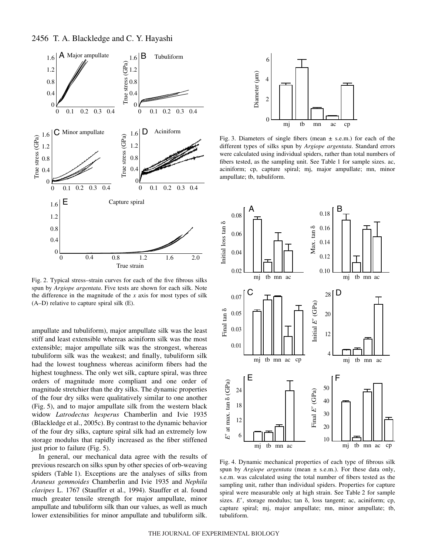

Fig. 2. Typical stress–strain curves for each of the five fibrous silks spun by *Argiope argentata*. Five tests are shown for each silk. Note the difference in the magnitude of the  $x$  axis for most types of silk (A–D) relative to capture spiral silk (E).

ampullate and tubuliform), major ampullate silk was the least stiff and least extensible whereas aciniform silk was the most extensible; major ampullate silk was the strongest, whereas tubuliform silk was the weakest; and finally, tubuliform silk had the lowest toughness whereas aciniform fibers had the highest toughness. The only wet silk, capture spiral, was three orders of magnitude more compliant and one order of magnitude stretchier than the dry silks. The dynamic properties of the four dry silks were qualitatively similar to one another (Fig. 5), and to major ampullate silk from the western black widow *Latrodectus hesperus* Chamberlin and Ivie 1935 (Blackledge et al., 2005c). By contrast to the dynamic behavior of the four dry silks, capture spiral silk had an extremely low storage modulus that rapidly increased as the fiber stiffened just prior to failure (Fig.  $5$ ).

In general, our mechanical data agree with the results of previous research on silks spun by other species of orb-weaving spiders (Table 1). Exceptions are the analyses of silks from *Araneus gemmoides* Chamberlin and Ivie 1935 and *Nephila clavipes* L. 1767 (Stauffer et al., 1994). Stauffer et al. found much greater tensile strength for major ampullate, minor ampullate and tubuliform silk than our values, as well as much lower extensibilities for minor ampullate and tubuliform silk.



Fig. 3. Diameters of single fibers (mean  $\pm$  s.e.m.) for each of the different types of silks spun by *Argiope argentata*. Standard errors were calculated using individual spiders, rather than total numbers of fibers tested, as the sampling unit. See Table 1 for sample sizes. ac, aciniform; cp, capture spiral; mj, major ampullate; mn, minor ampullate; tb, tubuliform.



Fig. 4. Dynamic mechanical properties of each type of fibrous silk spun by *Argiope argentata* (mean ± s.e.m.). For these data only, s.e.m. was calculated using the total number of fibers tested as the sampling unit, rather than individual spiders. Properties for capture spiral were measurable only at high strain. See Table 2 for sample sizes.  $E'$ , storage modulus; tan  $\delta$ , loss tangent; ac, aciniform; cp, capture spiral; mj, major ampullate; mn, minor ampullate; tb, tubuliform.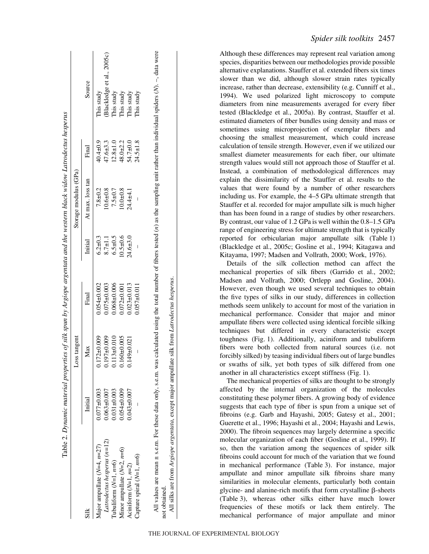|                                 |                   | Loss tangent      |                   |               | Storage modulus (GPa) |                |                           |
|---------------------------------|-------------------|-------------------|-------------------|---------------|-----------------------|----------------|---------------------------|
|                                 | Initial           | Max               | Final             | Initial       | At max. loss tan      | Final          | Source                    |
| Major ampullate $(N=4, n=27)$   | $0.077 \pm 0.003$ | $0.172 \pm 0.009$ | $0.054 \pm 0.002$ | $6.2 \pm 0.3$ | $7.8 + 0.2$           | $40.4 \pm 0.9$ | This study                |
| Latrodectus hesperus $(n=12)$   | $0.063 \pm 0.007$ | 0.040009          | $0.075 \pm 0.003$ | $8.7 \pm 1.1$ | $0.6 + 0.8$           | $17.6 \pm 3.3$ | Blackledge et al., 2005c) |
| $\Gamma$ ubuliform $(N=1, n=6)$ | $0.031 \pm 0.003$ | $0.113 \pm 0.010$ | $0.068 + 0.006$   | $6.5 + 0.5$   | $7.5 \pm 0.7$         | $12.8 \pm 1.0$ | This study                |
| Minor ampullate $(N=2, n=6)$    | $0.054 \pm 0.009$ | $0.160 \pm 0.005$ | $0.072 \pm 0.001$ | $0.5 + 0.6$   | $0.0 + 0.8$           | 48.0±2.2       | This study                |
| Aciniform $(N=1, n=2)$          | $0.043 \pm 0.007$ | $0.149 \pm 0.021$ | $0.023 \pm 0.013$ | $4.6 + 3.0$   | $24.4 + 4.1$          | 54.7±0.0       | This study                |
| Capture spiral $(N=1, n=6)$     |                   | I                 | $0.057\pm0.011$   |               |                       | $24.5 \pm 1.8$ | This study                |

All silks are from Argiope argentata, except major ampullate silk from Latrodectus hesperus. All silks are from *Argiope argentata*, except major ampullate silk from *Latrodectus hesperus*. not obtained. not obtained.

Although these differences may represent real variation among species, disparities between our methodologies provide possible alternative explanations. Stauffer et al. extended fibers six times slower than we did, although slower strain rates typically increase, rather than decrease, extensibility (e.g. Cunniff et al., 1994). We used polarized light microscopy to compute diameters from nine measurements averaged for every fiber tested (Blackledge et al., 2005a). By contrast, Stauffer et al. estimated diameters of fiber bundles using density and mass or sometimes using microprojection of exemplar fibers and choosing the smallest measurement, which could increase calculation of tensile strength. However, even if we utilized our smallest diameter measurements for each fiber, our ultimate strength values would still not approach those of Stauffer et al. Instead, a combination of methodological differences may explain the dissimilarity of the Stauffer et al. results to the values that were found by a number of other researchers including us. For example, the 4-5 GPa ultimate strength that Stauffer et al. recorded for major ampullate silk is much higher than has been found in a range of studies by other researchers. By contrast, our value of 1.2 GPa is well within the 0.8–1.5 GPa range of engineering stress for ultimate strength that is typically reported for orbicularian major ampullate silk (Table 1) (Blackledge et al., 2005c; Gosline et al., 1994; Kitagawa and Kitayama, 1997; Madsen and Vollrath, 2000; Work, 1976).

Details of the silk collection method can affect the mechanical properties of silk fibers (Garrido et al., 2002; Madsen and Vollrath, 2000; Ortlepp and Gosline, 2004). However, even though we used several techniques to obtain the five types of silks in our study, differences in collection methods seem unlikely to account for most of the variation in mechanical performance. Consider that major and minor ampullate fibers were collected using identical forcible silking techniques but differed in every characteristic except toughness (Fig. 1). Additionally, aciniform and tubuliform fibers were both collected from natural sources (i.e. not forcibly silked) by teasing individual fibers out of large bundles or swaths of silk, yet both types of silk differed from one another in all characteristics except stiffness (Fig. 1).

The mechanical properties of silks are thought to be strongly affected by the internal organization of the molecules constituting these polymer fibers. A growing body of evidence suggests that each type of fiber is spun from a unique set of fibroins (e.g. Garb and Hayashi, 2005; Gatesy et al., 2001; Guerette et al., 1996; Hayashi et al., 2004; Hayashi and Lewis, 2000). The fibroin sequences may largely determine a specific molecular organization of each fiber (Gosline et al., 1999). If so, then the variation among the sequences of spider silk fibroins could account for much of the variation that we found in mechanical performance (Table 3). For instance, major ampullate and minor ampullate silk fibroins share many similarities in molecular elements, particularly both contain glycine- and alanine-rich motifs that form crystalline  $\beta$ -sheets (Table 3), whereas other silks either have much lower frequencies of these motifs or lack them entirely. The mechanical performance of major ampullate and minor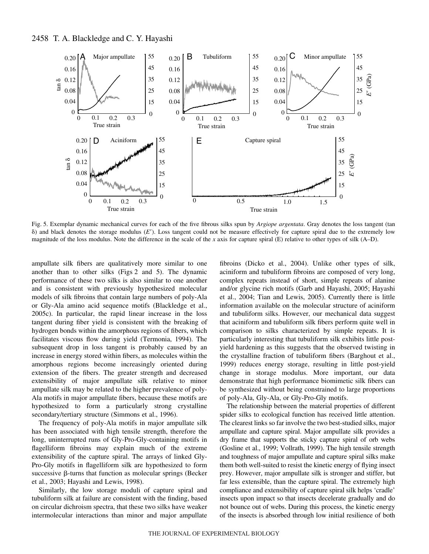2458 T. A. Blackledge and C. Y. Hayashi



Fig. 5. Exemplar dynamic mechanical curves for each of the five fibrous silks spun by *Argiope argentata*. Gray denotes the loss tangent (tan ) and black denotes the storage modulus (*E*). Loss tangent could not be measure effectively for capture spiral due to the extremely low magnitude of the loss modulus. Note the difference in the scale of the *x* axis for capture spiral (E) relative to other types of silk (A–D).

ampullate silk fibers are qualitatively more similar to one another than to other silks (Figs 2 and 5). The dynamic performance of these two silks is also similar to one another and is consistent with previously hypothesized molecular models of silk fibroins that contain large numbers of poly-Ala or Gly-Ala amino acid sequence motifs (Blackledge et al., 2005c). In particular, the rapid linear increase in the loss tangent during fiber yield is consistent with the breaking of hydrogen bonds within the amorphous regions of fibers, which facilitates viscous flow during yield (Termonia, 1994). The subsequent drop in loss tangent is probably caused by an increase in energy stored within fibers, as molecules within the amorphous regions become increasingly oriented during extension of the fibers. The greater strength and decreased extensibility of major ampullate silk relative to minor ampullate silk may be related to the higher prevalence of poly-Ala motifs in major ampullate fibers, because these motifs are hypothesized to form a particularly strong crystalline secondary/tertiary structure (Simmons et al., 1996).

The frequency of poly-Ala motifs in major ampullate silk has been associated with high tensile strength, therefore the long, uninterrupted runs of Gly-Pro-Gly-containing motifs in flagelliform fibroins may explain much of the extreme extensibility of the capture spiral. The arrays of linked Gly-Pro-Gly motifs in flagelliform silk are hypothesized to form successive  $\beta$ -turns that function as molecular springs (Becker et al., 2003; Hayashi and Lewis, 1998).

Similarly, the low storage moduli of capture spiral and tubuliform silk at failure are consistent with the finding, based on circular dichroism spectra, that these two silks have weaker intermolecular interactions than minor and major ampullate

fibroins (Dicko et al., 2004). Unlike other types of silk, aciniform and tubuliform fibroins are composed of very long, complex repeats instead of short, simple repeats of alanine and/or glycine rich motifs (Garb and Hayashi, 2005; Hayashi et al., 2004; Tian and Lewis, 2005). Currently there is little information available on the molecular structure of aciniform and tubuliform silks. However, our mechanical data suggest that aciniform and tubuliform silk fibers perform quite well in comparison to silks characterized by simple repeats. It is particularly interesting that tubuliform silk exhibits little postyield hardening as this suggests that the observed twisting in the crystalline fraction of tubuliform fibers (Barghout et al., 1999) reduces energy storage, resulting in little post-yield change in storage modulus. More important, our data demonstrate that high performance biomimetic silk fibers can be synthesized without being constrained to large proportions of poly-Ala, Gly-Ala, or Gly-Pro-Gly motifs.

The relationship between the material properties of different spider silks to ecological function has received little attention. The clearest links so far involve the two best-studied silks, major ampullate and capture spiral. Major ampullate silk provides a dry frame that supports the sticky capture spiral of orb webs (Gosline et al., 1999; Vollrath, 1999). The high tensile strength and toughness of major ampullate and capture spiral silks make them both well-suited to resist the kinetic energy of flying insect prey. However, major ampullate silk is stronger and stiffer, but far less extensible, than the capture spiral. The extremely high compliance and extensibility of capture spiral silk helps 'cradle' insects upon impact so that insects decelerate gradually and do not bounce out of webs. During this process, the kinetic energy of the insects is absorbed through low initial resilience of both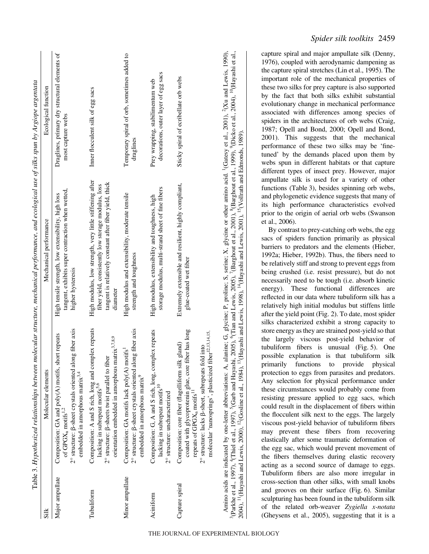| Silk            | Molecular elements                                                                                                                                                                                                                                                                              | Mechanical performance                                                                                                                                                                                                                                                                                                                                                                                                                                                                                                                                                      | Ecological function                                                      |
|-----------------|-------------------------------------------------------------------------------------------------------------------------------------------------------------------------------------------------------------------------------------------------------------------------------------------------|-----------------------------------------------------------------------------------------------------------------------------------------------------------------------------------------------------------------------------------------------------------------------------------------------------------------------------------------------------------------------------------------------------------------------------------------------------------------------------------------------------------------------------------------------------------------------------|--------------------------------------------------------------------------|
| Major ampullate | 2° structure: $\beta$ -sheet crystals oriented along fiber axis<br>short repeats<br>Composition: GA and poly(A) motifs,<br>embedded in amorphous matrix <sup>3,4</sup><br>of $GPGX_n$ motifs <sup>1,2</sup>                                                                                     | tangent, exhibits super contraction when wetted,<br>High tensile strength, low extensibility, high loss<br>higher hysteresis                                                                                                                                                                                                                                                                                                                                                                                                                                                | Draglines, primary dry structural elements of<br>most capture webs       |
| Tubuliform      | Composition: A and S rich, long and complex repeats<br>orientation embedded in amorphous matrix <sup>3,7,8,9</sup><br>2° structure: $\beta$ -sheets twist parallel to fiber<br>lacking in subrepeat motifs <sup>5,6</sup>                                                                       | High modulus, low strength, very little stiffening after<br>tangent is relatively constant after fiber yield, thick<br>fiber yield, consistently low storage modulus, loss<br>diameter                                                                                                                                                                                                                                                                                                                                                                                      | Inner flocculent silk of egg sacs                                        |
| Minor ampullate | 2° structure: $\beta$ -sheet crystals oriented along fiber axis<br>Composition: GA motifs lack poly(A) motifs <sup>1</sup><br>embedded in amorphous matrix <sup>9</sup>                                                                                                                         | High modulus and extensibility, moderate tensile<br>strength and toughness                                                                                                                                                                                                                                                                                                                                                                                                                                                                                                  | Temporary spiral of orb, sometimes added to<br>draglines                 |
| Aciniform       | Composition: G, A and S rich, long, complex repeats<br>lacking in subrepeat motifs <sup>10</sup><br>2° structure: uncharacterized                                                                                                                                                               | storage modulus, multi-strand sheet of fine fibers<br>High modulus, extensibility and toughness, high                                                                                                                                                                                                                                                                                                                                                                                                                                                                       | decorations, outer layer of egg sacs<br>Prey wrapping, stabilimentum web |
| Capture spiral  | coated with glycoprotenin glue, core fiber has long<br>molecular 'nanosprings', plasticized fiber <sup>12,13,14,15,</sup><br>Composition: core fiber (flagelliform silk gland)<br>2° structure: lacks $\beta$ -sheet, subrepeats fold into<br>repeats of GPGX <sub>n</sub> motifs <sup>11</sup> | Extremely extensible and resilient, highly compliant,<br>glue-coated wet fiber                                                                                                                                                                                                                                                                                                                                                                                                                                                                                              | Sticky spiral of ecribellate orb webs                                    |
|                 | Amino acids are indicated by one-letter abbreviations: A,<br>2004), <sup>11</sup> (Hayashi and Lewis, 2000), <sup>12</sup> (Gosline et al., 1984),                                                                                                                                              | alanine; G, glycine; P, proline; S, serine; X, glycine or other amino acid. <sup>1</sup> (Gatesy et al., 2001), <sup>2</sup> (Xu and Lewis, 1990),<br><sup>3</sup> (Parkhe et al., 1997), <sup>4</sup> (Thiel et al., 1997), <sup>5</sup> (Garb and Hayashi, 2005), <sup>6</sup> (Tian and Lewis, 2005), 7(Barghout et al., 2001), <sup>8</sup> (Barghout et al., 1999), <sup>9</sup> (Dicko et al., 2004), <sup>10</sup> (Hayashi et al.,<br><sup>13</sup> (Hayashi and Lewis, 1998), <sup>14</sup> (Hayashi and Lewis, 2001), <sup>15</sup> (Vollrath and Edmonds, 1989). |                                                                          |

Table·3. *Hypothesized relationships between molecular structure, mechanical performance, and ecological use of silks spun by Argiope argentata*   $\mathcal{L}$  and  $\mathcal{L}$ É

capture spiral and major ampullate silk (Denny, 1976), coupled with aerodynamic dampening as the capture spiral stretches (Lin et al., 1995). The important role of the mechanical properties of these two silks for prey capture is also supported by the fact that both silks exhibit substantial evolutionary change in mechanical performance associated with differences among species of spiders in the architectures of orb webs (Craig, 1987; Opell and Bond, 2000; Opell and Bond, 2001). This suggests that the mechanical performance of these two silks may be 'finetuned' by the demands placed upon them by webs spun in different habitats or that capture different types of insect prey. However, major ampullate silk is used for a variety of other functions (Table 3), besides spinning orb webs, and phylogenetic evidence suggests that many of its high performance characteristics evolved prior to the origin of aerial orb webs (Swanson et al., 2006).

By contrast to prey-catching orb webs, the egg sacs of spiders function primarily as physical barriers to predators and the elements (Hieber, 1992a; Hieber, 1992b). Thus, the fibers need to be relatively stiff and strong to prevent eggs from being crushed (i.e. resist pressure), but do not necessarily need to be tough (i.e. absorb kinetic energy). These functional differences are reflected in our data where tubuliform silk has a relatively high initial modulus but stiffens little after the yield point (Fig. 2). To date, most spider silks characterized exhibit a strong capacity to store energy as they are strained post-yield so that the largely viscous post-yield behavior of tubuliform fibers is unusual (Fig. 5). One possible explanation is that tubuliform silk primarily functions to provide physical protection to eggs from parasites and predators. Any selection for physical performance under these circumstances would probably come from resisting pressure applied to egg sacs, which could result in the displacement of fibers within the flocculent silk next to the eggs. The largely viscous post-yield behavior of tubuliform fibers may prevent these fibers from recovering elastically after some traumatic deformation of the egg sac, which would prevent movement of the fibers themselves during elastic recovery acting as a second source of damage to eggs. Tubuliform fibers are also more irregular in cross-section than other silks, with small knobs and grooves on their surface (Fig. 6). Similar sculpturing has been found in the tubuliform silk of the related orb-weaver *Zygiella x-notata* (Gheysens et al., 2005), suggesting that it is a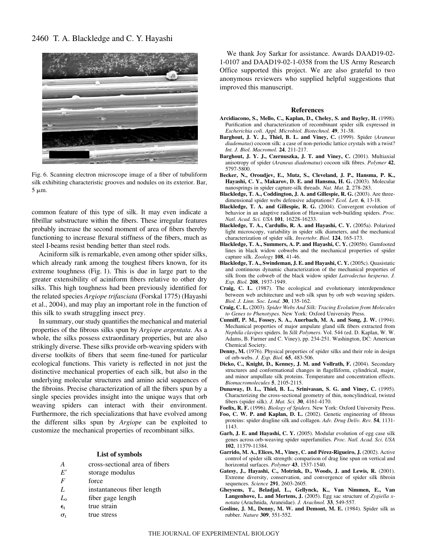

Fig. 6. Scanning electron microscope image of a fiber of tubuliform silk exhibiting characteristic grooves and nodules on its exterior. Bar,  $5 \mu m$ .

common feature of this type of silk. It may even indicate a fibrillar substructure within the fibers. These irregular features probably increase the second moment of area of fibers thereby functioning to increase flexural stiffness of the fibers, much as steel I-beams resist bending better than steel rods.

Aciniform silk is remarkable, even among other spider silks, which already rank among the toughest fibers known, for its extreme toughness  $(Fig. 1)$ . This is due in large part to the greater extensibility of aciniform fibers relative to other dry silks. This high toughness had been previously identified for the related species *Argiope trifasciata* (Forskal 1775) (Hayashi et al., 2004), and may play an important role in the function of this silk to swath struggling insect prey.

In summary, our study quantifies the mechanical and material properties of the fibrous silks spun by *Argiope argentata*. As a whole, the silks possess extraordinary properties, but are also strikingly diverse. These silks provide orb-weaving spiders with diverse toolkits of fibers that seem fine-tuned for particular ecological functions. This variety is reflected in not just the distinctive mechanical properties of each silk, but also in the underlying molecular structures and amino acid sequences of the fibroins. Precise characterization of all the fibers spun by a single species provides insight into the unique ways that orb weaving spiders can interact with their environment. Furthermore, the rich specializations that have evolved among the different silks spun by *Argiope* can be exploited to customize the mechanical properties of recombinant silks.

### **List of symbols**

- *A* cross-sectional area of fibers
- *E'* storage modulus
- *F* force
- *L* instantaneous fiber length
- *L*<sup>o</sup> fiber gage length
- $\epsilon_t$  true strain
- $\sigma_t$  true stress

We thank Joy Sarkar for assistance. Awards DAAD19-02- 1-0107 and DAAD19-02-1-0358 from the US Army Research Office supported this project. We are also grateful to two anonymous reviewers who supplied helpful suggestions that improved this manuscript.

### **References**

- **Arcidiacono, S., Mello, C., Kaplan, D., Cheley, S. and Bayley, H.** (1998). Purification and characterization of recombinant spider silk expressed in *Escherichia coli*. *Appl. Microbiol. Biotechnol.* **49**, 31-38.
- **Barghout, J. Y. J., Thiel, B. L. and Viney, C.** (1999). Spider (*Araneus diadematus*) cocoon silk: a case of non-periodic lattice crystals with a twist? *Int. J. Biol. Macromol.* **24**, 211-217.
- **Barghout, J. Y. J., Czernuszka, J. T. and Viney, C.** (2001). Multiaxial anisotropy of spider (*Araneus diadematus*) cocoon silk fibres. *Polymer* **42**, 5797-5800.
- **Becker, N., Oroudjev, E., Mutz, S., Cleveland, J. P., Hansma, P. K., Hayashi, C. Y., Makarov, D. E. and Hansma, H. G.** (2003). Molecular nanosprings in spider capture-silk threads. *Nat. Mat.* **2**, 278-283.
- **Blackledge, T. A., Coddington, J. A. and Gillespie, R. G.** (2003). Are threedimensional spider webs defensive adaptations? *Ecol. Lett.* **6**, 13-18.
- **Blackledge, T. A. and Gillespie, R. G.** (2004). Convergent evolution of behavior in an adaptive radiation of Hawaiian web-building spiders. *Proc. Natl. Acad. Sci. USA* **101**, 16228-16233.
- **Blackledge, T. A., Cardullo, R. A. and Hayashi, C. Y.** (2005a). Polarized light microscopy, variability in spider silk diameters, and the mechanical characterization of spider silk. *Invertebr. Biol.* **124**, 165-173.
- **Blackledge, T. A., Summers, A. P. and Hayashi, C. Y.** (2005b). Gumfooted lines in black widow cobwebs and the mechanical properties of spider capture silk. *Zoology* **108**, 41-46.
- **Blackledge, T. A., Swindeman, J. E. and Hayashi, C. Y.** (2005c). Quasistatic and continuous dynamic characterization of the mechanical properties of silk from the cobweb of the black widow spider *Latrodectus hesperus*. *J. Exp. Biol.* **208**, 1937-1949.
- **Craig, C. L.** (1987). The ecological and evolutionary interdependence between web architecture and web silk spun by orb web weaving spiders. *Biol. J. Linn. Soc. Lond.* **30**, 135-162.
- **Craig, C. L.** (2003). *Spider Webs And Silk: Tracing Evolution from Molecules to Genes to Phenotypes*. New York: Oxford University Press.
- **Cunniff, P. M., Fossey, S. A., Auerbach, M. A. and Song, J. W.** (1994). Mechanical properties of major ampulate gland silk fibers extracted from *Nephila clavipes* spiders. In *Silk Polymers*. Vol. 544 (ed. D. Kaplan, W. W. Adams, B. Farmer and C. Viney), pp. 234-251. Washington, DC: American Chemical Society.
- **Denny, M.** (1976). Physical properties of spider silks and their role in design of orb-webs. *J. Exp. Biol.* **65**, 483-506.
- **Dicko, C., Knight, D., Kenney, J. M. and Vollrath, F.** (2004). Secondary structures and conformational changes in flagelliform, cylindrical, major, and minor ampullate silk proteins. Temperature and concentration effects. *Biomacromolecules* **5**, 2105-2115.
- **Dunaway, D. L., Thiel, B. L., Srinivasan, S. G. and Viney, C.** (1995). Characterizing the cross-sectional geometry of thin, noncylindrical, twisted fibers (spider silk). *J. Mat. Sci.* **30**, 4161-4170.

**Foelix, R. F.** (1996). *Biology of Spiders.* New York: Oxford University Press.

- **Foo, C. W. P. and Kaplan, D. L.** (2002). Genetic engineering of fibrous proteins: spider dragline silk and collagen. *Adv. Drug Deliv. Rev.* **54**, 1131- 1143.
- **Garb, J. E. and Hayashi, C. Y.** (2005). Modular evolution of egg case silk genes across orb-weaving spider superfamilies. *Proc. Natl. Acad. Sci. USA* **102**, 11379-11384.
- **Garrido, M. A., Elices, M., Viney, C. and Pérez-Rigueiro, J.** (2002). Active control of spider silk strength: comparison of drag line spun on vertical and horizontal surfaces. *Polymer* **43**, 1537-1540.
- **Gatesy, J., Hayashi, C., Motriuk, D., Woods, J. and Lewis, R.** (2001). Extreme diversity, conservation, and convergence of spider silk fibroin sequences. *Science* **291**, 2603-2605.
- **Gheysens, T., Beladjal, L., Gellynck, K., Van Nimmen, E., Van Langenhove, L. and Mertens, J.** (2005). Egg sac structure of *Zygiella xnotata* (Arachnida, Araneidae). *J. Arachnol.* **33**, 549-557.
- **Gosline, J. M., Denny, M. W. and Demont, M. E.** (1984). Spider silk as rubber. *Nature* **309**, 551-552.